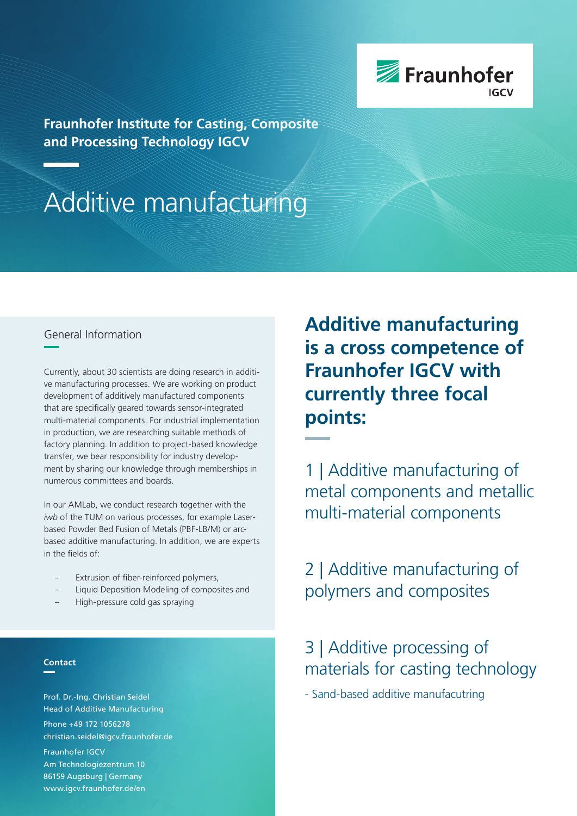

**Fraunhofer Institute for Casting, Composite and Processing Technology IGCV** 

# Additive manufacturing

## General Information

Currently, about 30 scientists are doing research in additive manufacturing processes. We are working on product development of additively manufactured components that are specifically geared towards sensor-integrated multi-material components. For industrial implementation in production, we are researching suitable methods of factory planning. In addition to project-based knowledge transfer, we bear responsibility for industry development by sharing our knowledge through memberships in numerous committees and boards.

In our AMLab, we conduct research together with the *iwb* of the TUM on various processes, for example Laserbased Powder Bed Fusion of Metals (PBF-LB/M) or arcbased additive manufacturing. In addition, we are experts in the fields of:

- Extrusion of fiber-reinforced polymers,
- Liquid Deposition Modeling of composites and
- High-pressure cold gas spraying

### **Contact**

Prof. Dr.-Ing. Christian Seidel Head of Additive Manufacturing Phone +49 172 1056278 christian.seidel@igcv.fraunhofer.de Fraunhofer IGCV Am Technologiezentrum 10 86159 Augsburg | Germany www.igcv.fraunhofer.de/en

**Additive manufacturing is a cross competence of Fraunhofer IGCV with currently three focal points:**

1 | Additive manufacturing of metal components and metallic multi-material components

2 | Additive manufacturing of polymers and composites

## 3 | Additive processing of materials for casting technology

- Sand-based additive manufacutring